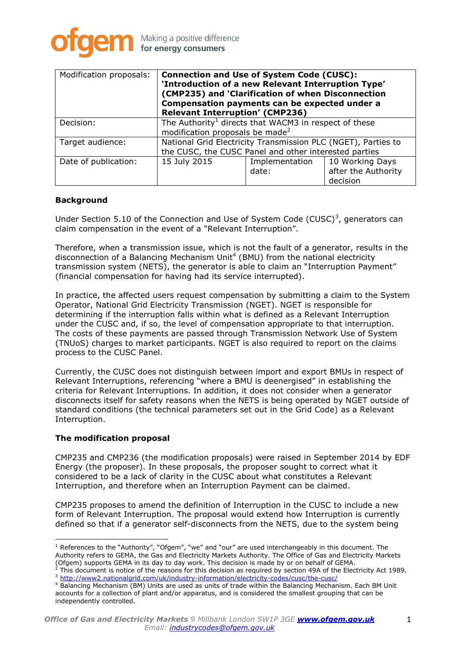

| Modification proposals: | <b>Connection and Use of System Code (CUSC):</b><br>'Introduction of a new Relevant Interruption Type'<br>(CMP235) and 'Clarification of when Disconnection<br>Compensation payments can be expected under a<br><b>Relevant Interruption' (CMP236)</b> |                         |                                                    |
|-------------------------|--------------------------------------------------------------------------------------------------------------------------------------------------------------------------------------------------------------------------------------------------------|-------------------------|----------------------------------------------------|
| Decision:               | The Authority <sup>1</sup> directs that WACM3 in respect of these<br>modification proposals be made <sup>2</sup>                                                                                                                                       |                         |                                                    |
| Target audience:        | National Grid Electricity Transmission PLC (NGET), Parties to<br>the CUSC, the CUSC Panel and other interested parties                                                                                                                                 |                         |                                                    |
| Date of publication:    | 15 July 2015                                                                                                                                                                                                                                           | Implementation<br>date: | 10 Working Days<br>after the Authority<br>decision |

# **Background**

Under Section 5.10 of the Connection and Use of System Code (CUSC)<sup>3</sup>, generators can claim compensation in the event of a "Relevant Interruption".

Therefore, when a transmission issue, which is not the fault of a generator, results in the disconnection of a Balancing Mechanism Unit<sup>4</sup> (BMU) from the national electricity transmission system (NETS), the generator is able to claim an "Interruption Payment" (financial compensation for having had its service interrupted).

In practice, the affected users request compensation by submitting a claim to the System Operator, National Grid Electricity Transmission (NGET). NGET is responsible for determining if the interruption falls within what is defined as a Relevant Interruption under the CUSC and, if so, the level of compensation appropriate to that interruption. The costs of these payments are passed through Transmission Network Use of System (TNUoS) charges to market participants. NGET is also required to report on the claims process to the CUSC Panel.

Currently, the CUSC does not distinguish between import and export BMUs in respect of Relevant Interruptions, referencing "where a BMU is deenergised" in establishing the criteria for Relevant Interruptions. In addition, it does not consider when a generator disconnects itself for safety reasons when the NETS is being operated by NGET outside of standard conditions (the technical parameters set out in the Grid Code) as a Relevant Interruption.

#### **The modification proposal**

CMP235 and CMP236 (the modification proposals) were raised in September 2014 by EDF Energy (the proposer). In these proposals, the proposer sought to correct what it considered to be a lack of clarity in the CUSC about what constitutes a Relevant Interruption, and therefore when an Interruption Payment can be claimed.

CMP235 proposes to amend the definition of Interruption in the CUSC to include a new form of Relevant Interruption. The proposal would extend how Interruption is currently defined so that if a generator self-disconnects from the NETS, due to the system being

 $1$  References to the "Authority", "Ofgem", "we" and "our" are used interchangeably in this document. The Authority refers to GEMA, the Gas and Electricity Markets Authority. The Office of Gas and Electricity Markets (Ofgem) supports GEMA in its day to day work. This decision is made by or on behalf of GEMA.

<sup>2</sup> This document is notice of the reasons for this decision as required by section 49A of the Electricity Act 1989. <sup>3</sup> <http://www2.nationalgrid.com/uk/industry-information/electricity-codes/cusc/the-cusc/>

<sup>4</sup> Balancing Mechanism (BM) Units are used as units of trade within the Balancing Mechanism. Each BM Unit accounts for a collection of plant and/or apparatus, and is considered the smallest grouping that can be independently controlled.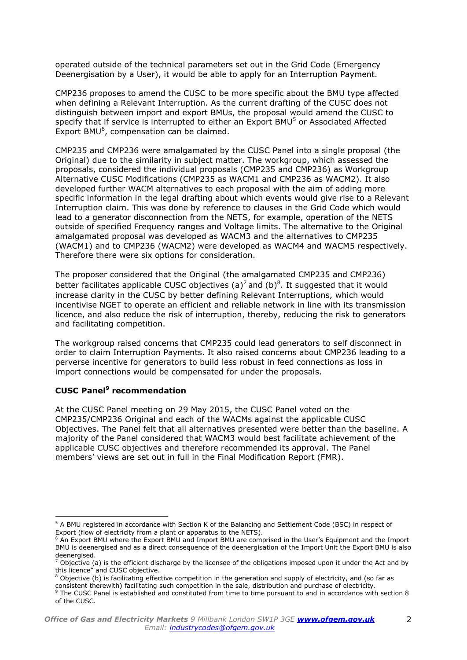operated outside of the technical parameters set out in the Grid Code (Emergency Deenergisation by a User), it would be able to apply for an Interruption Payment.

CMP236 proposes to amend the CUSC to be more specific about the BMU type affected when defining a Relevant Interruption. As the current drafting of the CUSC does not distinguish between import and export BMUs, the proposal would amend the CUSC to specify that if service is interrupted to either an Export BMU<sup>5</sup> or Associated Affected Export BMU<sup>6</sup>, compensation can be claimed.

CMP235 and CMP236 were amalgamated by the CUSC Panel into a single proposal (the Original) due to the similarity in subject matter. The workgroup, which assessed the proposals, considered the individual proposals (CMP235 and CMP236) as Workgroup Alternative CUSC Modifications (CMP235 as WACM1 and CMP236 as WACM2). It also developed further WACM alternatives to each proposal with the aim of adding more specific information in the legal drafting about which events would give rise to a Relevant Interruption claim. This was done by reference to clauses in the Grid Code which would lead to a generator disconnection from the NETS, for example, operation of the NETS outside of specified Frequency ranges and Voltage limits. The alternative to the Original amalgamated proposal was developed as WACM3 and the alternatives to CMP235 (WACM1) and to CMP236 (WACM2) were developed as WACM4 and WACM5 respectively. Therefore there were six options for consideration.

The proposer considered that the Original (the amalgamated CMP235 and CMP236) better facilitates applicable CUSC objectives (a)<sup>7</sup> and (b)<sup>8</sup>. It suggested that it would increase clarity in the CUSC by better defining Relevant Interruptions, which would incentivise NGET to operate an efficient and reliable network in line with its transmission licence, and also reduce the risk of interruption, thereby, reducing the risk to generators and facilitating competition.

The workgroup raised concerns that CMP235 could lead generators to self disconnect in order to claim Interruption Payments. It also raised concerns about CMP236 leading to a perverse incentive for generators to build less robust in feed connections as loss in import connections would be compensated for under the proposals.

# **CUSC Panel<sup>9</sup> recommendation**

 $\overline{a}$ 

At the CUSC Panel meeting on 29 May 2015, the CUSC Panel voted on the CMP235/CMP236 Original and each of the WACMs against the applicable CUSC Objectives. The Panel felt that all alternatives presented were better than the baseline. A majority of the Panel considered that WACM3 would best facilitate achievement of the applicable CUSC objectives and therefore recommended its approval. The Panel members' views are set out in full in the Final Modification Report (FMR).

<sup>&</sup>lt;sup>5</sup> A BMU registered in accordance with Section K of the Balancing and Settlement Code (BSC) in respect of Export (flow of electricity from a plant or apparatus to the NETS).

<sup>&</sup>lt;sup>6</sup> An Export BMU where the Export BMU and Import BMU are comprised in the User's Equipment and the Import BMU is deenergised and as a direct consequence of the deenergisation of the Import Unit the Export BMU is also deenergised.

 $^7$  Objective (a) is the efficient discharge by the licensee of the obligations imposed upon it under the Act and by this licence" and CUSC objective.

 $8$  Objective (b) is facilitating effective competition in the generation and supply of electricity, and (so far as consistent therewith) facilitating such competition in the sale, distribution and purchase of electricity.

 $9$  The CUSC Panel is established and constituted from time to time pursuant to and in accordance with section 8 of the CUSC.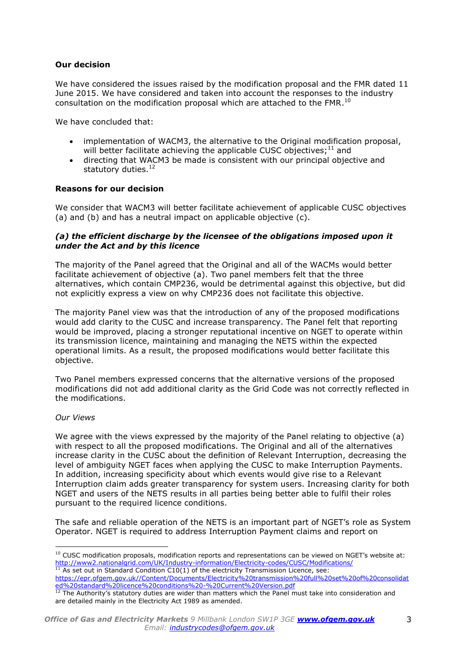### **Our decision**

We have considered the issues raised by the modification proposal and the FMR dated 11 June 2015. We have considered and taken into account the responses to the industry consultation on the modification proposal which are attached to the FMR. $^{10}$ 

We have concluded that:

- implementation of WACM3, the alternative to the Original modification proposal, will better facilitate achieving the applicable CUSC objectives;<sup>11</sup> and
- directing that WACM3 be made is consistent with our principal objective and statutory duties.<sup>12</sup>

#### **Reasons for our decision**

We consider that WACM3 will better facilitate achievement of applicable CUSC objectives (a) and (b) and has a neutral impact on applicable objective (c).

#### *(a) the efficient discharge by the licensee of the obligations imposed upon it under the Act and by this licence*

The majority of the Panel agreed that the Original and all of the WACMs would better facilitate achievement of objective (a). Two panel members felt that the three alternatives, which contain CMP236, would be detrimental against this objective, but did not explicitly express a view on why CMP236 does not facilitate this objective.

The majority Panel view was that the introduction of any of the proposed modifications would add clarity to the CUSC and increase transparency. The Panel felt that reporting would be improved, placing a stronger reputational incentive on NGET to operate within its transmission licence, maintaining and managing the NETS within the expected operational limits. As a result, the proposed modifications would better facilitate this objective.

Two Panel members expressed concerns that the alternative versions of the proposed modifications did not add additional clarity as the Grid Code was not correctly reflected in the modifications.

#### *Our Views*

We agree with the views expressed by the majority of the Panel relating to objective (a) with respect to all the proposed modifications. The Original and all of the alternatives increase clarity in the CUSC about the definition of Relevant Interruption, decreasing the level of ambiguity NGET faces when applying the CUSC to make Interruption Payments. In addition, increasing specificity about which events would give rise to a Relevant Interruption claim adds greater transparency for system users. Increasing clarity for both NGET and users of the NETS results in all parties being better able to fulfil their roles pursuant to the required licence conditions.

The safe and reliable operation of the NETS is an important part of NGET's role as System Operator. NGET is required to address Interruption Payment claims and report on

<sup>&</sup>lt;sup>10</sup> CUSC modification proposals, modification reports and representations can be viewed on NGET's website at: <http://www2.nationalgrid.com/UK/Industry-information/Electricity-codes/CUSC/Modifications/>  $11$  As set out in Standard Condition C10(1) of the electricity Transmission Licence, see:

[https://epr.ofgem.gov.uk//Content/Documents/Electricity%20transmission%20full%20set%20of%20consolidat](https://epr.ofgem.gov.uk/Content/Documents/Electricity%20transmission%20full%20set%20of%20consolidated%20standard%20licence%20conditions%20-%20Current%20Version.pdf) [ed%20standard%20licence%20conditions%20-%20Current%20Version.pdf](https://epr.ofgem.gov.uk/Content/Documents/Electricity%20transmission%20full%20set%20of%20consolidated%20standard%20licence%20conditions%20-%20Current%20Version.pdf)

 $12$  The Authority's statutory duties are wider than matters which the Panel must take into consideration and are detailed mainly in the Electricity Act 1989 as amended.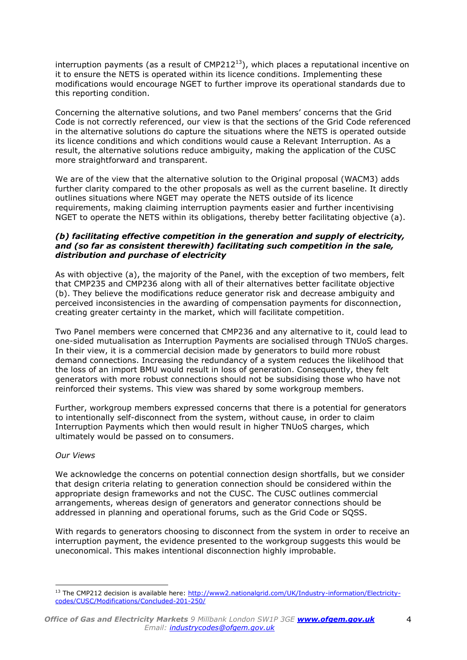interruption payments (as a result of  $CMP212^{13}$ ), which places a reputational incentive on it to ensure the NETS is operated within its licence conditions. Implementing these modifications would encourage NGET to further improve its operational standards due to this reporting condition.

Concerning the alternative solutions, and two Panel members' concerns that the Grid Code is not correctly referenced, our view is that the sections of the Grid Code referenced in the alternative solutions do capture the situations where the NETS is operated outside its licence conditions and which conditions would cause a Relevant Interruption. As a result, the alternative solutions reduce ambiguity, making the application of the CUSC more straightforward and transparent.

We are of the view that the alternative solution to the Original proposal (WACM3) adds further clarity compared to the other proposals as well as the current baseline. It directly outlines situations where NGET may operate the NETS outside of its licence requirements, making claiming interruption payments easier and further incentivising NGET to operate the NETS within its obligations, thereby better facilitating objective (a).

### *(b) facilitating effective competition in the generation and supply of electricity, and (so far as consistent therewith) facilitating such competition in the sale, distribution and purchase of electricity*

As with objective (a), the majority of the Panel, with the exception of two members, felt that CMP235 and CMP236 along with all of their alternatives better facilitate objective (b). They believe the modifications reduce generator risk and decrease ambiguity and perceived inconsistencies in the awarding of compensation payments for disconnection, creating greater certainty in the market, which will facilitate competition.

Two Panel members were concerned that CMP236 and any alternative to it, could lead to one-sided mutualisation as Interruption Payments are socialised through TNUoS charges. In their view, it is a commercial decision made by generators to build more robust demand connections. Increasing the redundancy of a system reduces the likelihood that the loss of an import BMU would result in loss of generation. Consequently, they felt generators with more robust connections should not be subsidising those who have not reinforced their systems. This view was shared by some workgroup members.

Further, workgroup members expressed concerns that there is a potential for generators to intentionally self-disconnect from the system, without cause, in order to claim Interruption Payments which then would result in higher TNUoS charges, which ultimately would be passed on to consumers.

# *Our Views*

 $\overline{a}$ 

We acknowledge the concerns on potential connection design shortfalls, but we consider that design criteria relating to generation connection should be considered within the appropriate design frameworks and not the CUSC. The CUSC outlines commercial arrangements, whereas design of generators and generator connections should be addressed in planning and operational forums, such as the Grid Code or SQSS.

With regards to generators choosing to disconnect from the system in order to receive an interruption payment, the evidence presented to the workgroup suggests this would be uneconomical. This makes intentional disconnection highly improbable.

<sup>&</sup>lt;sup>13</sup> The CMP212 decision is available here[: http://www2.nationalgrid.com/UK/Industry-information/Electricity](http://www2.nationalgrid.com/UK/Industry-information/Electricity-codes/CUSC/Modifications/Concluded-201-250/)[codes/CUSC/Modifications/Concluded-201-250/](http://www2.nationalgrid.com/UK/Industry-information/Electricity-codes/CUSC/Modifications/Concluded-201-250/)